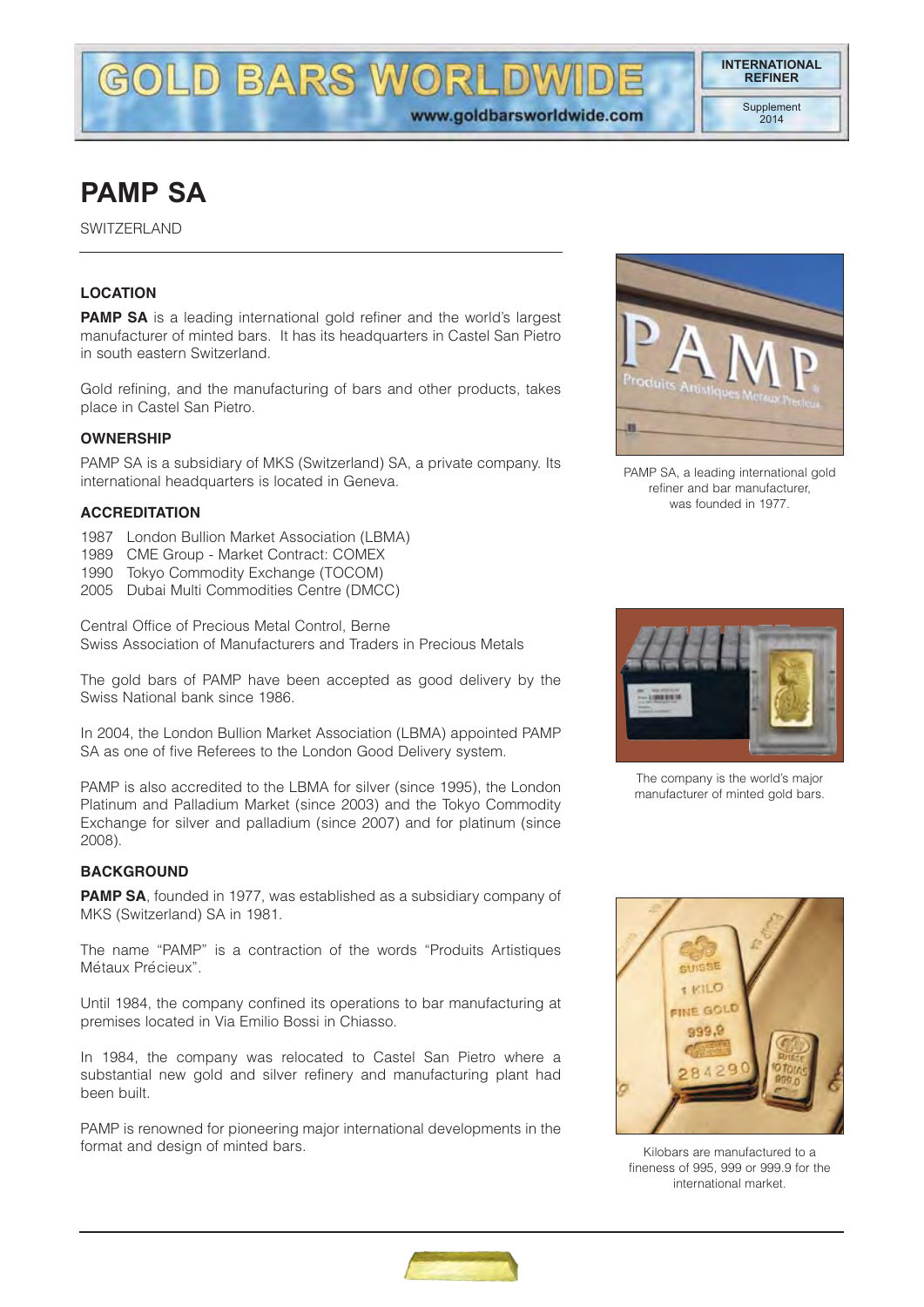DIVA

# **PAMP SA**

SWITZERLAND

## **LOCATION**

**PAMP SA** is a leading international gold refiner and the world's largest manufacturer of minted bars. It has its headquarters in Castel San Pietro in south eastern Switzerland.

**LD BARS WORL** 

Gold refining, and the manufacturing of bars and other products, takes place in Castel San Pietro.

#### **OWNERSHIP**

PAMP SA is a subsidiary of MKS (Switzerland) SA, a private company. Its international headquarters is located in Geneva.

#### **ACCREDITATION**

- 1987 London Bullion Market Association (LBMA)
- 1989 CME Group Market Contract: COMEX
- 1990 Tokyo Commodity Exchange (TOCOM)
- 2005 Dubai Multi Commodities Centre (DMCC)

Central Office of Precious Metal Control, Berne Swiss Association of Manufacturers and Traders in Precious Metals

The gold bars of PAMP have been accepted as good delivery by the Swiss National bank since 1986.

In 2004, the London Bullion Market Association (LBMA) appointed PAMP SA as one of five Referees to the London Good Delivery system.

PAMP is also accredited to the LBMA for silver (since 1995), the London Platinum and Palladium Market (since 2003) and the Tokyo Commodity Exchange for silver and palladium (since 2007) and for platinum (since 2008).

#### **BACKGROUND**

**PAMP SA**, founded in 1977, was established as a subsidiary company of MKS (Switzerland) SA in 1981.

The name "PAMP" is a contraction of the words "Produits Artistiques Métaux Précieux".

Until 1984, the company confined its operations to bar manufacturing at premises located in Via Emilio Bossi in Chiasso.

In 1984, the company was relocated to Castel San Pietro where a substantial new gold and silver refinery and manufacturing plant had been built.

PAMP is renowned for pioneering major international developments in the format and design of minted bars.



PAMP SA, a leading international gold refiner and bar manufacturer, was founded in 1977.



The company is the world's major manufacturer of minted gold bars.



Kilobars are manufactured to a fineness of 995, 999 or 999.9 for the international market.

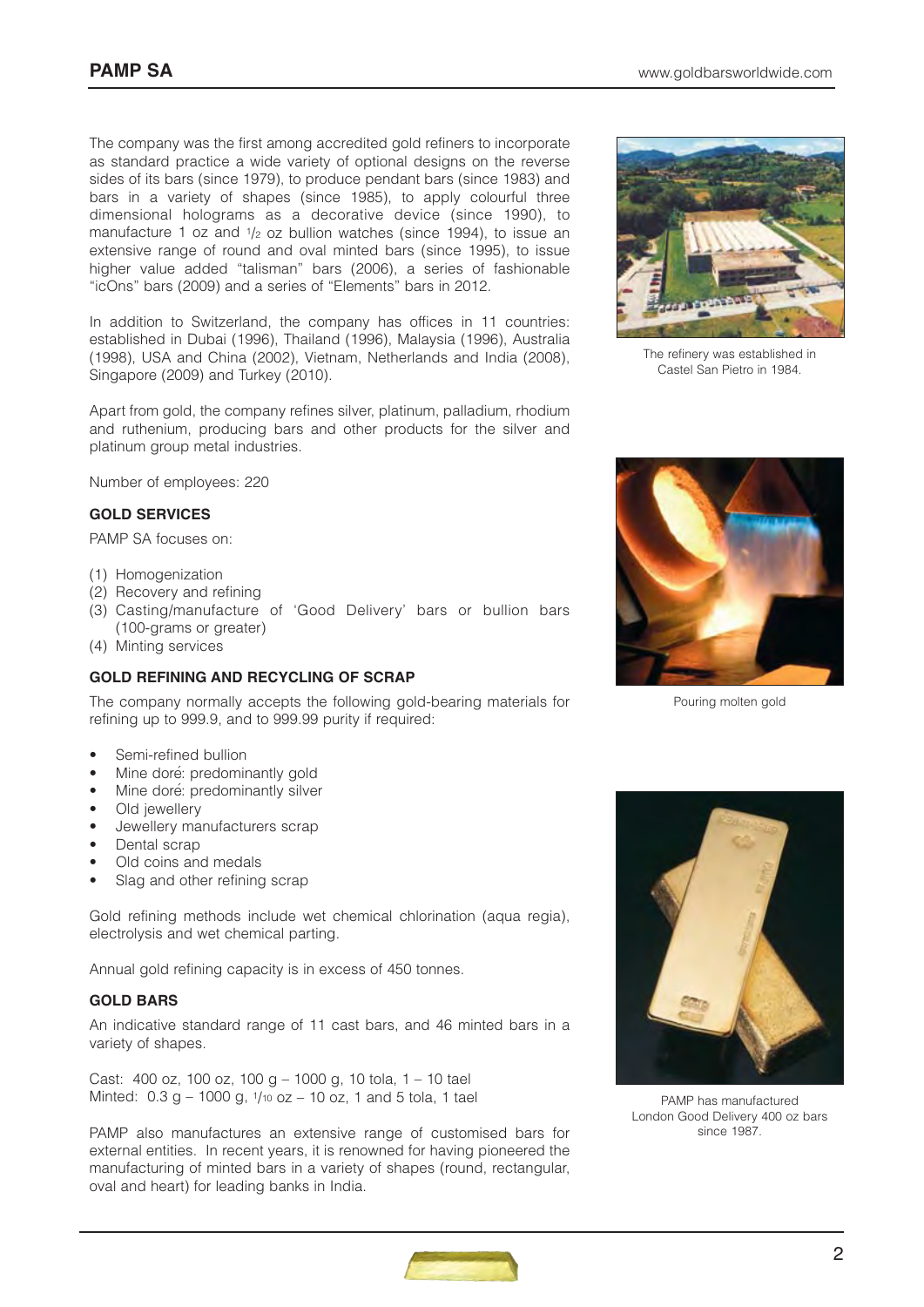The company was the first among accredited gold refiners to incorporate as standard practice a wide variety of optional designs on the reverse sides of its bars (since 1979), to produce pendant bars (since 1983) and bars in a variety of shapes (since 1985), to apply colourful three dimensional holograms as a decorative device (since 1990), to manufacture 1 oz and  $1/2$  oz bullion watches (since 1994), to issue an extensive range of round and oval minted bars (since 1995), to issue higher value added "talisman" bars (2006), a series of fashionable "icOns" bars (2009) and a series of "Elements" bars in 2012.

In addition to Switzerland, the company has offices in 11 countries: established in Dubai (1996), Thailand (1996), Malaysia (1996), Australia (1998), USA and China (2002), Vietnam, Netherlands and India (2008), Singapore (2009) and Turkey (2010).

Apart from gold, the company refines silver, platinum, palladium, rhodium and ruthenium, producing bars and other products for the silver and platinum group metal industries.

Number of employees: 220

#### **GOLD SERVICES**

PAMP SA focuses on:

- (1) Homogenization
- (2) Recovery and refining
- (3) Casting/manufacture of 'Good Delivery' bars or bullion bars (100-grams or greater)
- (4) Minting services

## **GOLD REFINING AND RECYCLING OF SCRAP**

The company normally accepts the following gold-bearing materials for refining up to 999.9, and to 999.99 purity if required:

- Semi-refined bullion
- Mine doré: predominantly gold
- Mine doré: predominantly silver
- Old jewellery
- Jewellery manufacturers scrap
- Dental scrap
- Old coins and medals
- Slag and other refining scrap

Gold refining methods include wet chemical chlorination (aqua regia), electrolysis and wet chemical parting.

Annual gold refining capacity is in excess of 450 tonnes.

#### **GOLD BARS**

An indicative standard range of 11 cast bars, and 46 minted bars in a variety of shapes.

Cast: 400 oz, 100 oz, 100 g – 1000 g, 10 tola, 1 – 10 tael Minted:  $0.3$  g – 1000 g,  $1/10$  oz – 10 oz, 1 and 5 tola, 1 tael

PAMP also manufactures an extensive range of customised bars for external entities. In recent years, it is renowned for having pioneered the manufacturing of minted bars in a variety of shapes (round, rectangular, oval and heart) for leading banks in India.



The refinery was established in Castel San Pietro in 1984.



Pouring molten gold



PAMP has manufactured London Good Delivery 400 oz bars since 1987.

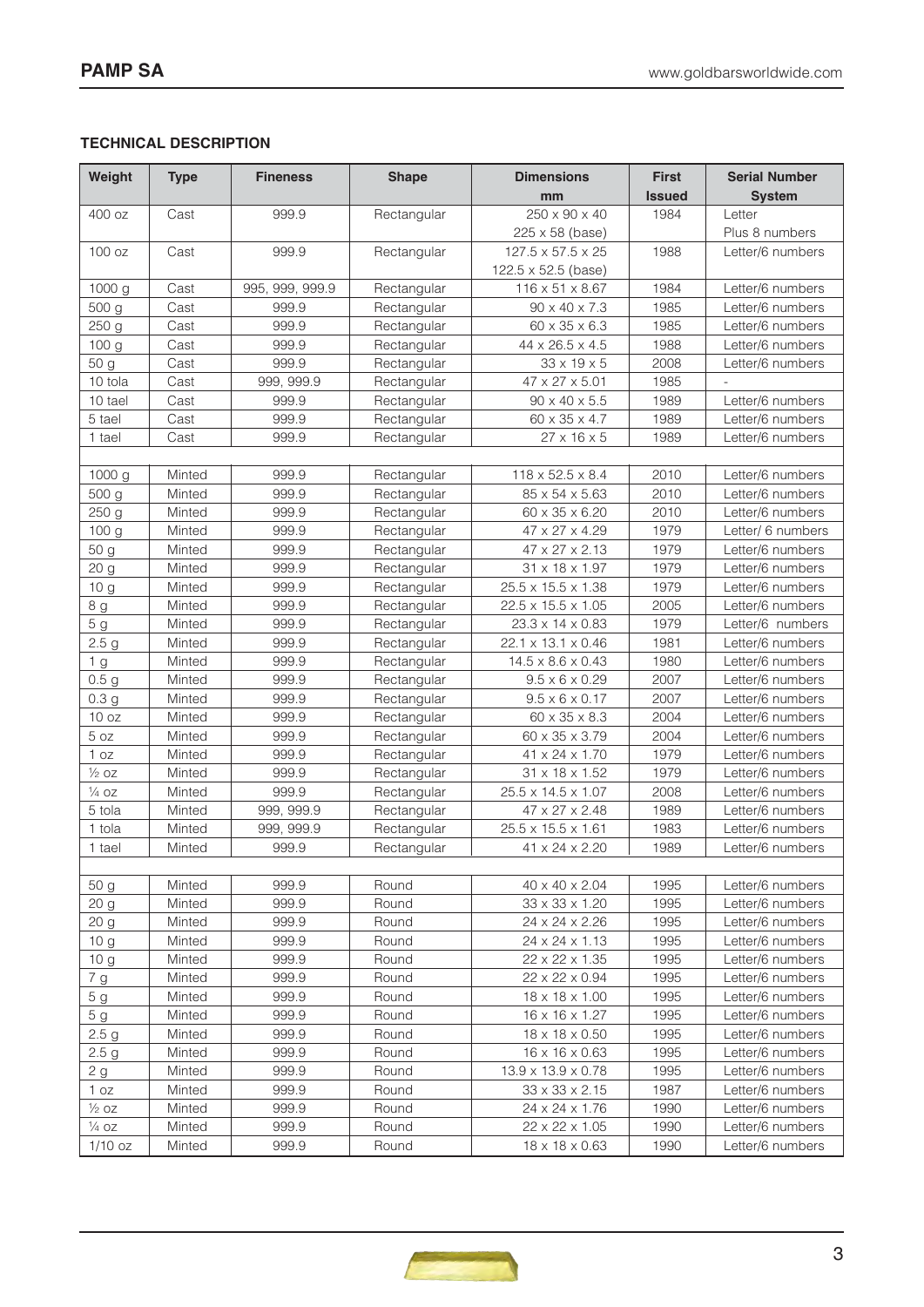# **TECHNICAL DESCRIPTION**

| Weight                               | <b>Type</b>      | <b>Fineness</b> | <b>Shape</b>   | <b>Dimensions</b>                | <b>First</b>  | <b>Serial Number</b>                 |
|--------------------------------------|------------------|-----------------|----------------|----------------------------------|---------------|--------------------------------------|
|                                      |                  |                 |                | mm                               | <b>Issued</b> | <b>System</b>                        |
| 400 oz                               | Cast             | 999.9           | Rectangular    | $250 \times 90 \times 40$        | 1984          | Letter                               |
|                                      |                  |                 |                | 225 x 58 (base)                  |               | Plus 8 numbers                       |
| 100 oz                               | Cast             | 999.9           | Rectangular    | $127.5 \times 57.5 \times 25$    | 1988          | Letter/6 numbers                     |
|                                      |                  |                 |                | 122.5 x 52.5 (base)              |               |                                      |
| 1000 g                               | Cast             | 995, 999, 999.9 | Rectangular    | 116 x 51 x 8.67<br>1984          |               | Letter/6 numbers                     |
| 500 g                                | Cast             | 999.9           | Rectangular    | $90 \times 40 \times 7.3$        | 1985          | Letter/6 numbers                     |
| 250 g                                | Cast             | 999.9           | Rectangular    | 60 x 35 x 6.3                    | 1985          | Letter/6 numbers                     |
| 100 g                                | Cast             | 999.9           | Rectangular    | 44 x 26.5 x 4.5                  | 1988          | Letter/6 numbers                     |
| 50 g                                 | Cast             | 999.9           | Rectangular    | $33 \times 19 \times 5$          | 2008          | Letter/6 numbers                     |
| 10 tola                              | Cast             | 999, 999.9      | Rectangular    | 47 x 27 x 5.01                   | 1985          |                                      |
| 10 tael                              | Cast             | 999.9           | Rectangular    | $90 \times 40 \times 5.5$        | 1989          | Letter/6 numbers                     |
| 5 tael                               | Cast             | 999.9           | Rectangular    | 60 x 35 x 4.7                    | 1989          | Letter/6 numbers                     |
| 1 tael                               | Cast             | 999.9           | Rectangular    | $27 \times 16 \times 5$          | 1989          | Letter/6 numbers                     |
|                                      |                  |                 |                |                                  |               |                                      |
| 1000 g                               | Minted           | 999.9           | Rectangular    | 118 x 52.5 x 8.4                 | 2010          | Letter/6 numbers                     |
| 500 g                                | Minted           | 999.9           | Rectangular    | 85 x 54 x 5.63                   | 2010          | Letter/6 numbers                     |
| 250 g                                | Minted           | 999.9           | Rectangular    | 60 x 35 x 6.20                   | 2010          | Letter/6 numbers                     |
| 100 g                                | Minted           | 999.9           | Rectangular    | 47 x 27 x 4.29                   | 1979          | Letter/ 6 numbers                    |
| 50 g                                 | Minted           | 999.9           | Rectangular    | 47 x 27 x 2.13                   | 1979          | Letter/6 numbers                     |
| 20 g                                 | Minted           | 999.9           | Rectangular    | 31 x 18 x 1.97                   | 1979          | Letter/6 numbers                     |
| 10 g                                 | Minted           | 999.9           | Rectangular    | 25.5 x 15.5 x 1.38               | 1979          | Letter/6 numbers                     |
| 8 g                                  | Minted           | 999.9           | Rectangular    | 22.5 x 15.5 x 1.05               | 2005          | Letter/6 numbers                     |
| 5 <sub>g</sub>                       | Minted           | 999.9           | Rectangular    | 23.3 x 14 x 0.83                 | 1979          | Letter/6 numbers                     |
| 2.5 <sub>g</sub>                     | Minted           | 999.9           | Rectangular    | 22.1 x 13.1 x 0.46               | 1981          | Letter/6 numbers                     |
| 1 g                                  | Minted           | 999.9           | Rectangular    | $14.5 \times 8.6 \times 0.43$    | 1980          | Letter/6 numbers                     |
| 0.5 <sub>g</sub>                     | Minted           | 999.9           | Rectangular    | $9.5 \times 6 \times 0.29$       | 2007          | Letter/6 numbers                     |
| 0.3 <sub>g</sub>                     | Minted           | 999.9           | Rectangular    | $9.5 \times 6 \times 0.17$       | 2007          | Letter/6 numbers                     |
| 10 oz                                | Minted           | 999.9           | Rectangular    | 60 x 35 x 8.3                    | 2004          | Letter/6 numbers                     |
| 5 oz                                 | Minted           | 999.9           | Rectangular    | 60 x 35 x 3.79                   | 2004          | Letter/6 numbers                     |
| 1 oz                                 | Minted           | 999.9           | Rectangular    | 41 x 24 x 1.70                   | 1979          | Letter/6 numbers                     |
| $\frac{1}{2}$ oz                     | Minted           | 999.9           | Rectangular    | 31 x 18 x 1.52                   | 1979          | Letter/6 numbers                     |
| $\frac{1}{4}$ OZ                     | Minted           | 999.9           | Rectangular    | 25.5 x 14.5 x 1.07               | 2008          | Letter/6 numbers                     |
| 5 tola                               | Minted           | 999, 999.9      | Rectangular    | 47 x 27 x 2.48                   | 1989          | Letter/6 numbers                     |
| 1 tola                               | Minted           | 999, 999.9      | Rectangular    | 25.5 x 15.5 x 1.61               | 1983          | Letter/6 numbers                     |
| 1 tael                               | Minted           | 999.9           | Rectangular    | 41 x 24 x 2.20                   | 1989          | Letter/6 numbers                     |
|                                      |                  |                 |                |                                  |               |                                      |
| 50 g                                 | Minted           | 999.9           | Round          | 40 x 40 x 2.04                   | 1995          | Letter/6 numbers                     |
| 20 g                                 | Minted           | 999.9           | Round          | 33 x 33 x 1.20                   | 1995          | Letter/6 numbers                     |
| 20 <sub>g</sub>                      | Minted           | 999.9           | Round          | 24 x 24 x 2.26                   | 1995          | Letter/6 numbers                     |
| 10 <sub>g</sub>                      | Minted           | 999.9           | Round          | 24 x 24 x 1.13                   | 1995          | Letter/6 numbers                     |
| 10 <sub>g</sub>                      | Minted           | 999.9           | Round          | 22 x 22 x 1.35                   | 1995          | Letter/6 numbers                     |
| 7 g                                  | Minted           | 999.9           | Round          | 22 x 22 x 0.94                   | 1995          | Letter/6 numbers                     |
| 5 <sub>g</sub>                       | Minted           | 999.9           | Round          | 18 x 18 x 1.00                   | 1995          | Letter/6 numbers                     |
| 5 <sub>g</sub>                       | Minted           | 999.9           | Round          | 16 x 16 x 1.27                   | 1995          | Letter/6 numbers                     |
| 2.5 <sub>g</sub>                     | Minted           | 999.9           | Round          | 18 x 18 x 0.50                   | 1995          | Letter/6 numbers                     |
| 2.5 <sub>g</sub>                     | Minted           | 999.9           | Round          | 16 x 16 x 0.63                   | 1995          | Letter/6 numbers                     |
| 2g                                   | Minted           | 999.9           | Round          | 13.9 x 13.9 x 0.78               | 1995          | Letter/6 numbers                     |
| 1 oz                                 | Minted           | 999.9           | Round          | 33 x 33 x 2.15                   | 1987          | Letter/6 numbers                     |
| $\frac{1}{2}$ OZ<br>$\frac{1}{4}$ OZ | Minted<br>Minted | 999.9<br>999.9  | Round<br>Round | 24 x 24 x 1.76<br>22 x 22 x 1.05 | 1990<br>1990  | Letter/6 numbers<br>Letter/6 numbers |
| $1/10$ oz                            | Minted           | 999.9           | Round          | 18 x 18 x 0.63                   | 1990          | Letter/6 numbers                     |
|                                      |                  |                 |                |                                  |               |                                      |

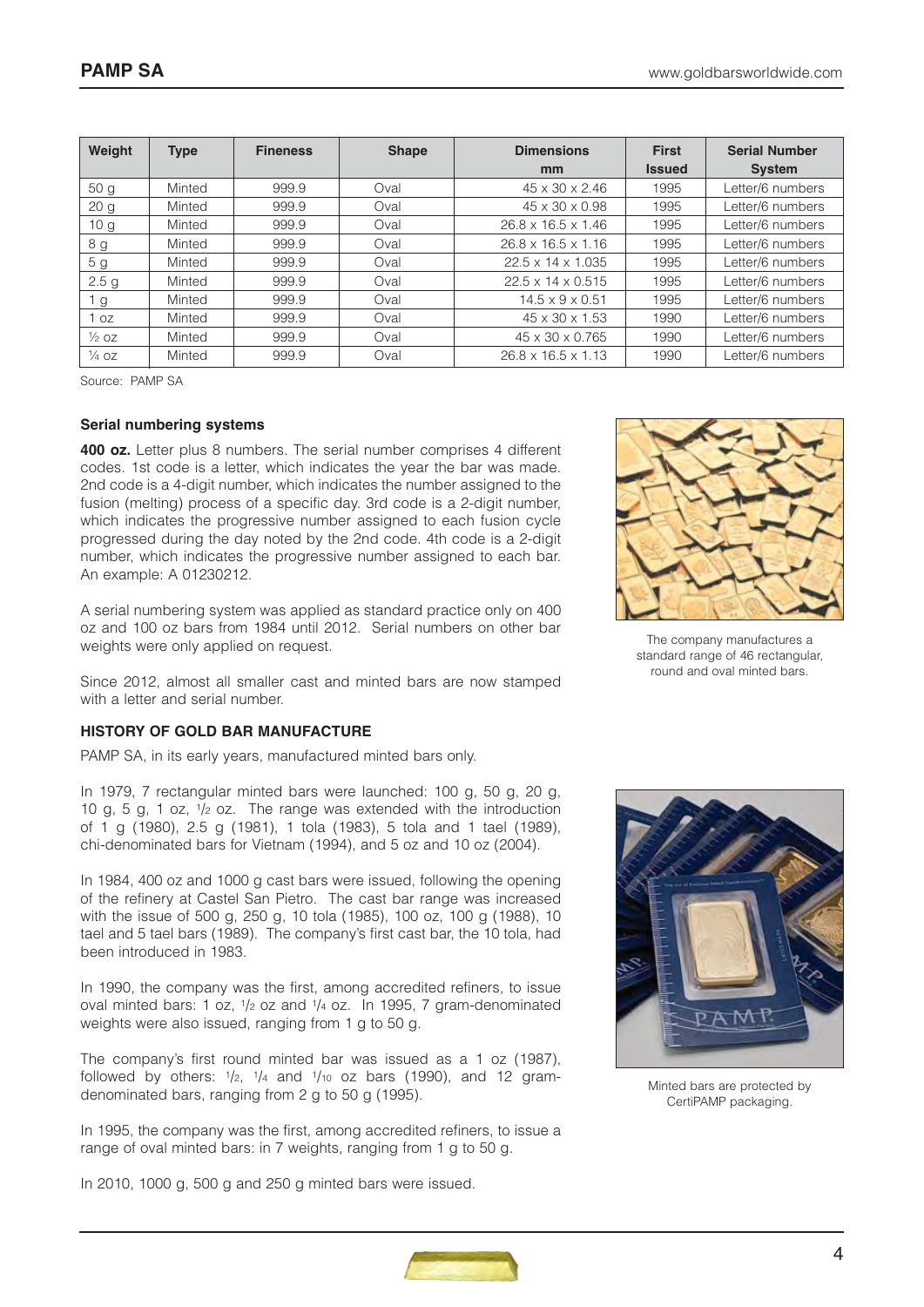| Weight           | <b>Type</b> | <b>Fineness</b> | <b>Shape</b> | <b>Dimensions</b>              | <b>First</b>  | <b>Serial Number</b> |
|------------------|-------------|-----------------|--------------|--------------------------------|---------------|----------------------|
|                  |             |                 |              | mm                             | <b>Issued</b> | <b>System</b>        |
| 50 <sub>q</sub>  | Minted      | 999.9           | Oval         | 45 x 30 x 2.46                 | 1995          | Letter/6 numbers     |
| 20 <sub>g</sub>  | Minted      | 999.9           | Oval         | $45 \times 30 \times 0.98$     | 1995          | Letter/6 numbers     |
| 10 <sub>g</sub>  | Minted      | 999.9           | Oval         | $26.8 \times 16.5 \times 1.46$ | 1995          | Letter/6 numbers     |
| 8 g              | Minted      | 999.9           | Oval         | $26.8 \times 16.5 \times 1.16$ | 1995          | Letter/6 numbers     |
| 5 <sub>g</sub>   | Minted      | 999.9           | Oval         | $22.5 \times 14 \times 1.035$  | 1995          | Letter/6 numbers     |
| 2.5 <sub>g</sub> | Minted      | 999.9           | Oval         | $22.5 \times 14 \times 0.515$  | 1995          | Letter/6 numbers     |
| ' g              | Minted      | 999.9           | Oval         | $14.5 \times 9 \times 0.51$    | 1995          | Letter/6 numbers     |
| OZ               | Minted      | 999.9           | Oval         | $45 \times 30 \times 1.53$     | 1990          | Letter/6 numbers     |
| $\frac{1}{2}$ OZ | Minted      | 999.9           | Oval         | $45 \times 30 \times 0.765$    | 1990          | Letter/6 numbers     |
| $\frac{1}{4}$ OZ | Minted      | 999.9           | Oval         | $26.8 \times 16.5 \times 1.13$ | 1990          | Letter/6 numbers     |

Source: PAMP SA

#### **Serial numbering systems**

**400 oz.** Letter plus 8 numbers. The serial number comprises 4 different codes. 1st code is a letter, which indicates the year the bar was made. 2nd code is a 4-digit number, which indicates the number assigned to the fusion (melting) process of a specific day. 3rd code is a 2-digit number, which indicates the progressive number assigned to each fusion cycle progressed during the day noted by the 2nd code. 4th code is a 2-digit number, which indicates the progressive number assigned to each bar. An example: A 01230212.

A serial numbering system was applied as standard practice only on 400 oz and 100 oz bars from 1984 until 2012. Serial numbers on other bar weights were only applied on request.

Since 2012, almost all smaller cast and minted bars are now stamped with a letter and serial number.

#### **HISTORY OF GOLD BAR MANUFACTURE**

PAMP SA, in its early years, manufactured minted bars only.

In 1979, 7 rectangular minted bars were launched: 100 g, 50 g, 20 g, 10 g, 5 g, 1 oz, 1/2 oz. The range was extended with the introduction of 1 g (1980), 2.5 g (1981), 1 tola (1983), 5 tola and 1 tael (1989), chi-denominated bars for Vietnam (1994), and 5 oz and 10 oz (2004).

In 1984, 400 oz and 1000 g cast bars were issued, following the opening of the refinery at Castel San Pietro. The cast bar range was increased with the issue of 500 g, 250 g, 10 tola (1985), 100 oz, 100 g (1988), 10 tael and 5 tael bars (1989). The company's first cast bar, the 10 tola, had been introduced in 1983.

In 1990, the company was the first, among accredited refiners, to issue oval minted bars: 1 oz, 1/2 oz and 1/4 oz. In 1995, 7 gram-denominated weights were also issued, ranging from 1 g to 50 g.

The company's first round minted bar was issued as a 1 oz (1987), followed by others:  $1/2$ ,  $1/4$  and  $1/10$  oz bars (1990), and 12 gramdenominated bars, ranging from 2 g to 50 g (1995).

In 1995, the company was the first, among accredited refiners, to issue a range of oval minted bars: in 7 weights, ranging from 1 g to 50 g.

In 2010, 1000 g, 500 g and 250 g minted bars were issued.



The company manufactures a standard range of 46 rectangular, round and oval minted bars.



Minted bars are protected by CertiPAMP packaging.

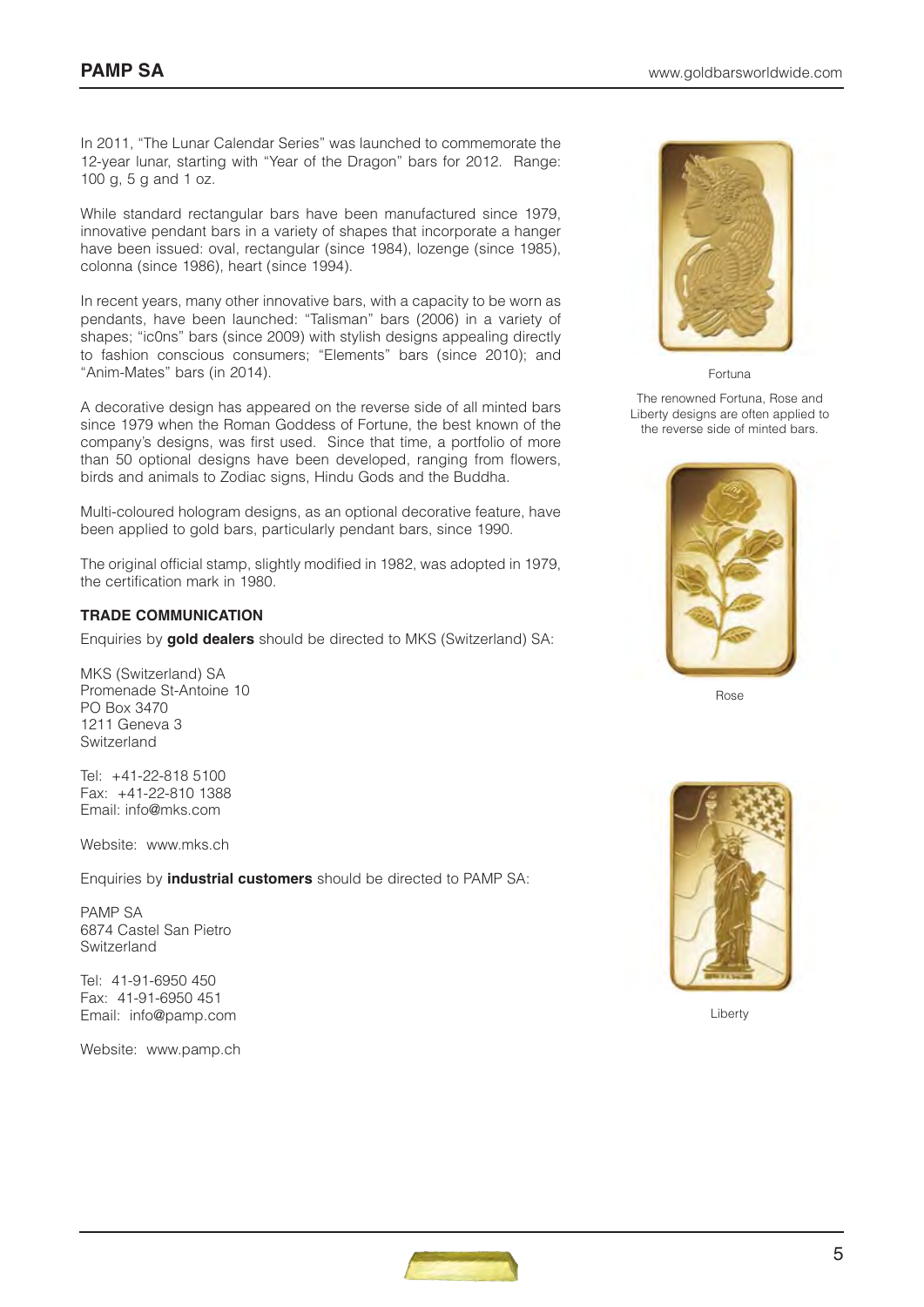In 2011, "The Lunar Calendar Series" was launched to commemorate the 12-year lunar, starting with "Year of the Dragon" bars for 2012. Range: 100 g, 5 g and 1 oz.

While standard rectangular bars have been manufactured since 1979, innovative pendant bars in a variety of shapes that incorporate a hanger have been issued: oval, rectangular (since 1984), lozenge (since 1985), colonna (since 1986), heart (since 1994).

In recent years, many other innovative bars, with a capacity to be worn as pendants, have been launched: "Talisman" bars (2006) in a variety of shapes; "ic0ns" bars (since 2009) with stylish designs appealing directly to fashion conscious consumers; "Elements" bars (since 2010); and "Anim-Mates" bars (in 2014).

A decorative design has appeared on the reverse side of all minted bars since 1979 when the Roman Goddess of Fortune, the best known of the company's designs, was first used. Since that time, a portfolio of more than 50 optional designs have been developed, ranging from flowers, birds and animals to Zodiac signs, Hindu Gods and the Buddha.

Multi-coloured hologram designs, as an optional decorative feature, have been applied to gold bars, particularly pendant bars, since 1990.

The original official stamp, slightly modified in 1982, was adopted in 1979, the certification mark in 1980.

#### **TRADE COMMUNICATION**

Enquiries by **gold dealers** should be directed to MKS (Switzerland) SA:

MKS (Switzerland) SA Promenade St-Antoine 10 PO Box 3470 1211 Geneva 3 Switzerland

Tel: +41-22-818 5100 Fax: +41-22-810 1388 Email: info@mks.com

Website: www.mks.ch

Enquiries by **industrial customers** should be directed to PAMP SA:

PAMP SA 6874 Castel San Pietro Switzerland

Tel: 41-91-6950 450 Fax: 41-91-6950 451 Email: info@pamp.com

Website: www.pamp.ch



Fortuna

The renowned Fortuna, Rose and Liberty designs are often applied to the reverse side of minted bars.



Rose



Liberty

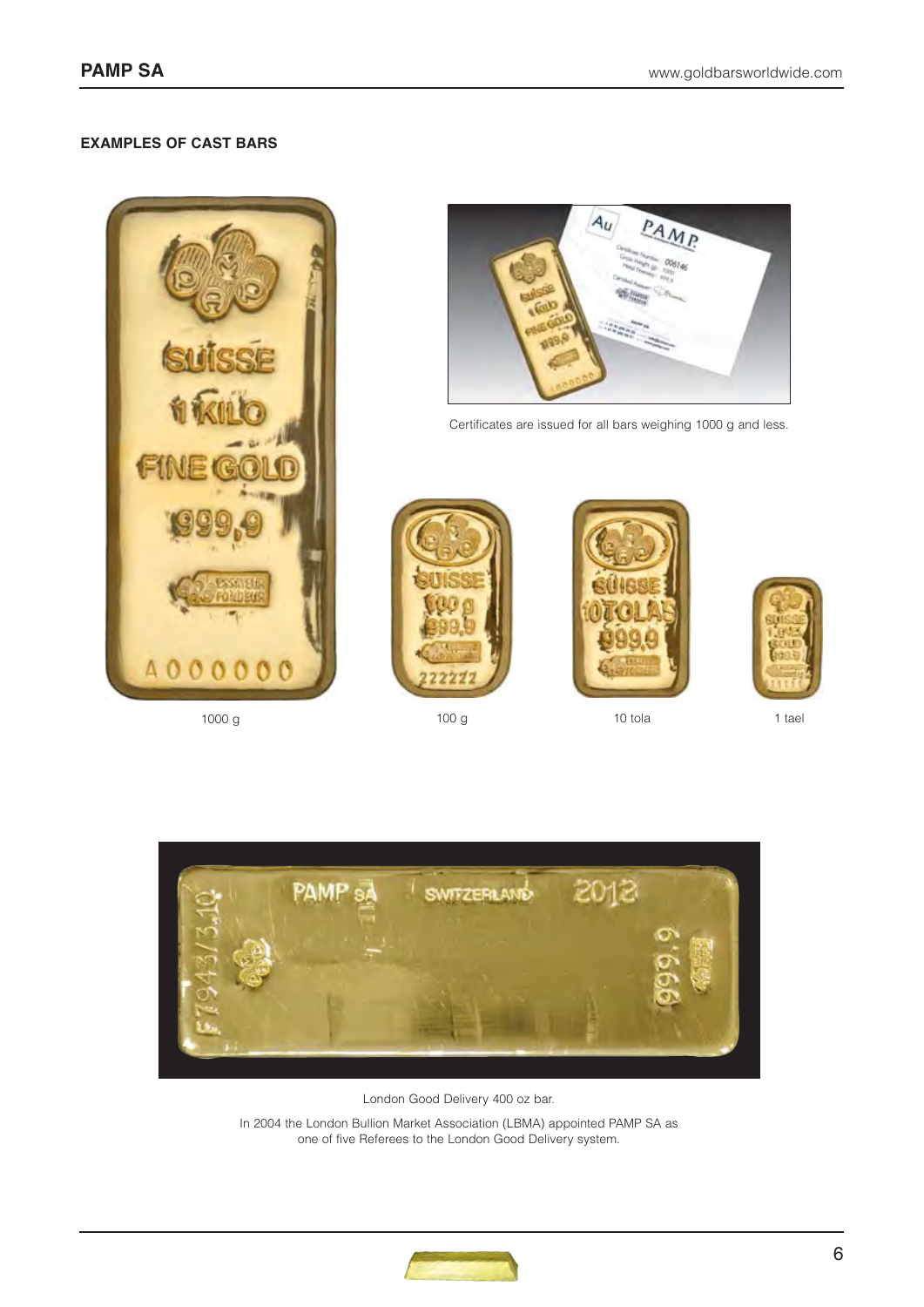# **EXAMPLES OF CAST BARS**





Certificates are issued for all bars weighing 1000 g and less.





1000 g 100 g 10 tola 1 tael





London Good Delivery 400 oz bar.

In 2004 the London Bullion Market Association (LBMA) appointed PAMP SA as one of five Referees to the London Good Delivery system.

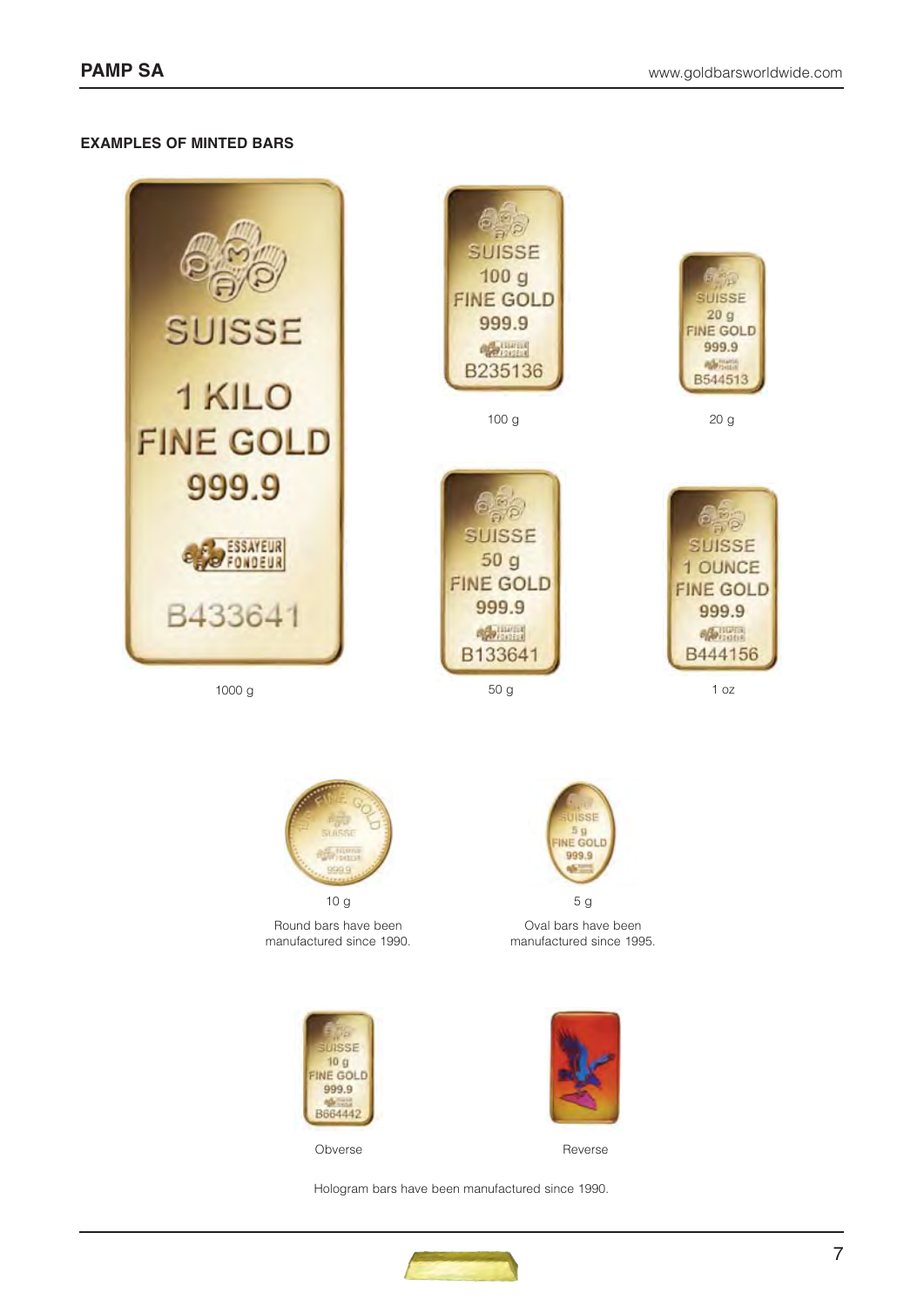# **EXAMPLES OF MINTED BARS**



1000 g

b SUISSE  $100q$ **FINE GOLD** 999.9 **Official** B235136

100 g





20 g



50 g 1 oz



Round bars have been manufactured since 1990.





Oval bars have been manufactured since 1995.



Obverse Reverse

Hologram bars have been manufactured since 1990.

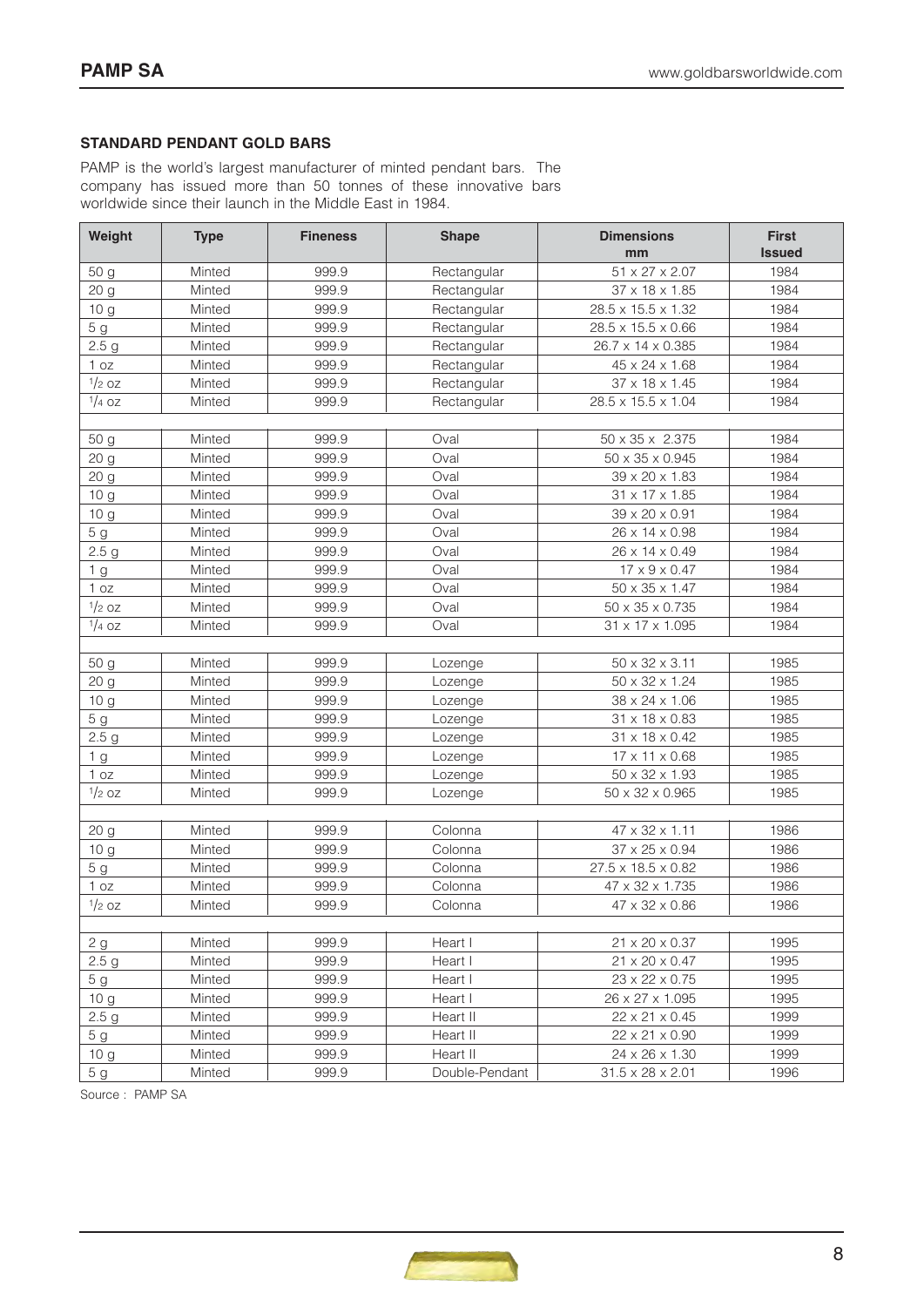## **STANDARD PENDANT GOLD BARS**

PAMP is the world's largest manufacturer of minted pendant bars. The company has issued more than 50 tonnes of these innovative bars worldwide since their launch in the Middle East in 1984.

| Weight           | <b>Type</b> | <b>Fineness</b> | <b>Shape</b>   | <b>Dimensions</b>            | <b>First</b>  |
|------------------|-------------|-----------------|----------------|------------------------------|---------------|
|                  |             |                 |                | mm                           | <b>Issued</b> |
| 50 g             | Minted      | 999.9           | Rectangular    | 51 x 27 x 2.07               | 1984          |
| 20 g             | Minted      | 999.9           | Rectangular    | 37 x 18 x 1.85               | 1984          |
| 10 g             | Minted      | 999.9           | Rectangular    | 28.5 x 15.5 x 1.32           | 1984          |
| 5 <sub>g</sub>   | Minted      | 999.9           | Rectangular    | 28.5 x 15.5 x 0.66           | 1984          |
| 2.5 <sub>g</sub> | Minted      | 999.9           | Rectangular    | 26.7 x 14 x 0.385            | 1984          |
| 1 oz             | Minted      | 999.9           | Rectangular    | 45 x 24 x 1.68               | 1984          |
| $1/2$ OZ         | Minted      | 999.9           | Rectangular    | 37 x 18 x 1.45               | 1984          |
| $1/4$ OZ         | Minted      | 999.9           | Rectangular    | 28.5 x 15.5 x 1.04           | 1984          |
|                  |             |                 |                |                              |               |
| 50 g             | Minted      | 999.9           | Oval           | 50 x 35 x 2.375              | 1984          |
| 20 g             | Minted      | 999.9           | Oval           | 50 x 35 x 0.945              | 1984          |
| 20 g             | Minted      | 999.9           | Oval           | 39 x 20 x 1.83               | 1984          |
| 10 <sub>g</sub>  | Minted      | 999.9           | Oval           | 31 x 17 x 1.85               | 1984          |
| 10 <sub>g</sub>  | Minted      | 999.9           | Oval           | 39 x 20 x 0.91               | 1984          |
| 5 <sub>g</sub>   | Minted      | 999.9           | Oval           | 26 x 14 x 0.98               | 1984          |
| 2.5 <sub>g</sub> | Minted      | 999.9           | Oval           | 26 x 14 x 0.49               | 1984          |
| 1 <sub>g</sub>   | Minted      | 999.9           | Oval           | $17 \times 9 \times 0.47$    | 1984          |
| 1 oz             | Minted      | 999.9           | Oval           | 50 x 35 x 1.47               | 1984          |
| $1/2$ OZ         | Minted      | 999.9           | Oval           | 50 x 35 x 0.735              | 1984          |
| $1/4$ OZ         | Minted      | 999.9           | Oval           | 31 x 17 x 1.095              | 1984          |
|                  |             |                 |                |                              |               |
| 50 g             | Minted      | 999.9           | Lozenge        | 50 x 32 x 3.11               | 1985          |
| 20 g             | Minted      | 999.9           | Lozenge        | 50 x 32 x 1.24               | 1985          |
| 10 <sub>g</sub>  | Minted      | 999.9           | Lozenge        | 38 x 24 x 1.06               | 1985          |
| 5 <sub>g</sub>   | Minted      | 999.9           | Lozenge        | 31 x 18 x 0.83               | 1985          |
| 2.5 <sub>g</sub> | Minted      | 999.9           | Lozenge        | 31 x 18 x 0.42               | 1985          |
| 1 <sub>g</sub>   | Minted      | 999.9           | Lozenge        | 17 x 11 x 0.68               | 1985          |
| 1 oz             | Minted      | 999.9           | Lozenge        | 50 x 32 x 1.93               | 1985          |
| $1/2$ OZ         | Minted      | 999.9           | Lozenge        | 50 x 32 x 0.965              | 1985          |
|                  |             |                 |                |                              |               |
| 20 <sub>g</sub>  | Minted      | 999.9           | Colonna        | 47 x 32 x 1.11               | 1986          |
| 10 g             | Minted      | 999.9           | Colonna        | 37 x 25 x 0.94               | 1986          |
| 5 <sub>g</sub>   | Minted      | 999.9           | Colonna        | 27.5 x 18.5 x 0.82           | 1986          |
| 1 oz             | Minted      | 999.9           | Colonna        | 47 x 32 x 1.735              | 1986          |
| $1/2$ OZ         | Minted      | 999.9           | Colonna        | 47 x 32 x 0.86               | 1986          |
|                  |             |                 |                |                              |               |
| 2g               | Minted      | 999.9           | Heart I        | 21 x 20 x 0.37               | 1995          |
| 2.5 <sub>g</sub> | Minted      | 999.9           | Heart I        | 21 x 20 x 0.47               | 1995          |
| 5 g              | Minted      | 999.9           | Heart I        | 23 x 22 x 0.75               | 1995          |
| 10 <sub>g</sub>  | Minted      | 999.9           | Heart I        | 26 x 27 x 1.095              | 1995          |
| 2.5 <sub>g</sub> | Minted      | 999.9           | Heart II       | 22 x 21 x 0.45               | 1999          |
| 5 g              | Minted      | 999.9           | Heart II       | 22 x 21 x 0.90               | 1999          |
| 10 <sub>g</sub>  | Minted      | 999.9           | Heart II       | 24 x 26 x 1.30               | 1999          |
| 5g               | Minted      | 999.9           | Double-Pendant | $31.5 \times 28 \times 2.01$ | 1996          |

Source : PAMP SA

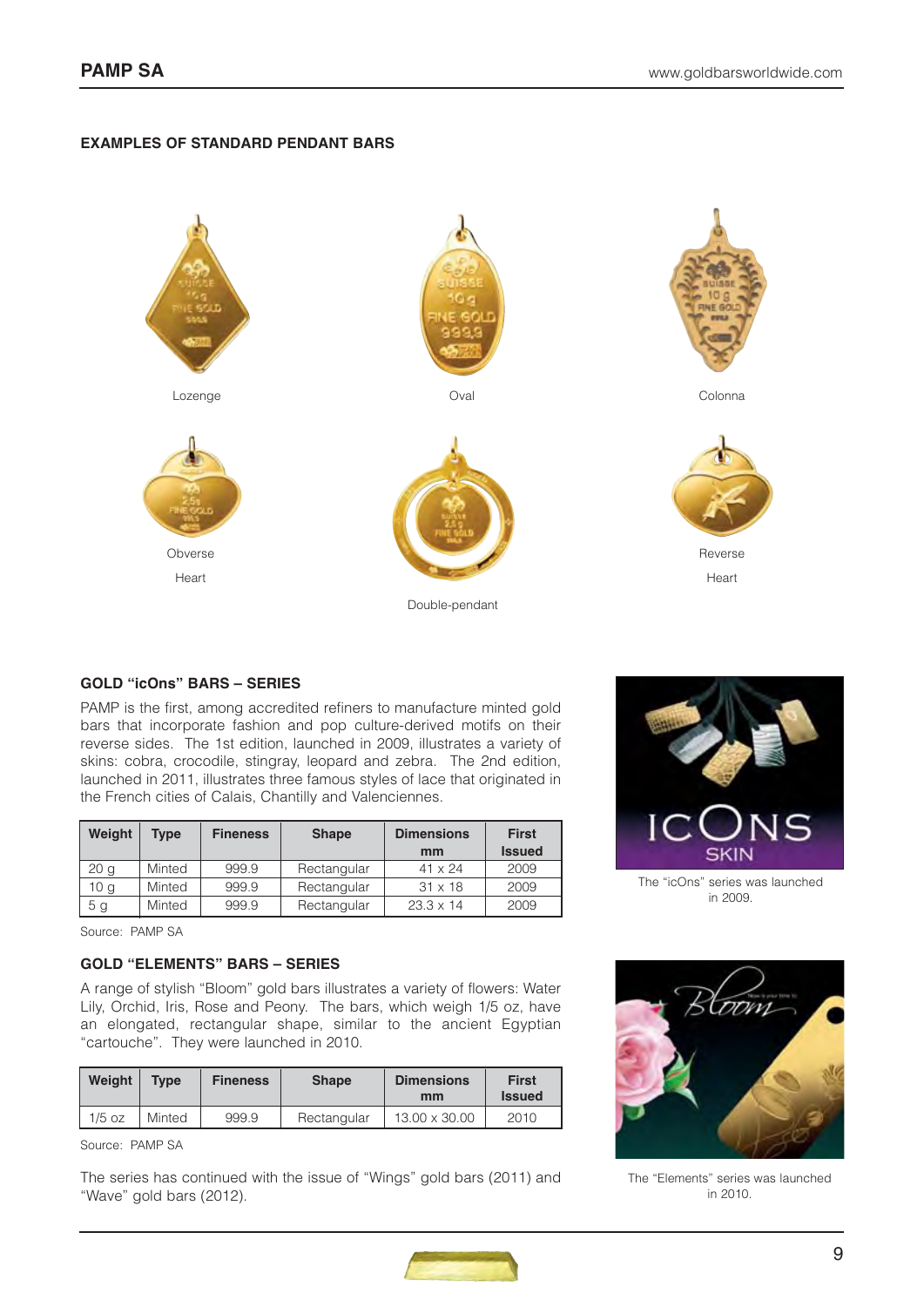## **EXAMPLES OF STANDARD PENDANT BARS**



## **GOLD "icOns" BARS – SERIES**

PAMP is the first, among accredited refiners to manufacture minted gold bars that incorporate fashion and pop culture-derived motifs on their reverse sides. The 1st edition, launched in 2009, illustrates a variety of skins: cobra, crocodile, stingray, leopard and zebra. The 2nd edition, launched in 2011, illustrates three famous styles of lace that originated in the French cities of Calais, Chantilly and Valenciennes.

| Weight          | Type   | <b>Fineness</b> | <b>Shape</b> | <b>Dimensions</b> | <b>First</b>  |
|-----------------|--------|-----------------|--------------|-------------------|---------------|
|                 |        |                 |              | mm                | <b>Issued</b> |
| 20 <sub>q</sub> | Minted | 999.9           | Rectangular  | $41 \times 24$    | 2009          |
| 10 <sub>q</sub> | Minted | 999.9           | Rectangular  | $31 \times 18$    | 2009          |
| 5 g             | Minted | 999.9           | Rectangular  | $23.3 \times 14$  | 2009          |

Source: PAMP SA

# **GOLD "ELEMENTS" BARS – SERIES**

A range of stylish "Bloom" gold bars illustrates a variety of flowers: Water Lily, Orchid, Iris, Rose and Peony. The bars, which weigh 1/5 oz, have an elongated, rectangular shape, similar to the ancient Egyptian "cartouche". They were launched in 2010.

| Weight   | <b>Type</b> | <b>Fineness</b> | <b>Shape</b> | <b>Dimensions</b><br>mm | <b>First</b><br><b>Issued</b> |
|----------|-------------|-----------------|--------------|-------------------------|-------------------------------|
| $1/5$ oz | Minted      | 999.9           | Rectangular  | 13.00 x 30.00           | 2010                          |

Source: PAMP SA

The series has continued with the issue of "Wings" gold bars (2011) and "Wave" gold bars (2012).



The "icOns" series was launched in 2009.



The "Elements" series was launched in 2010.

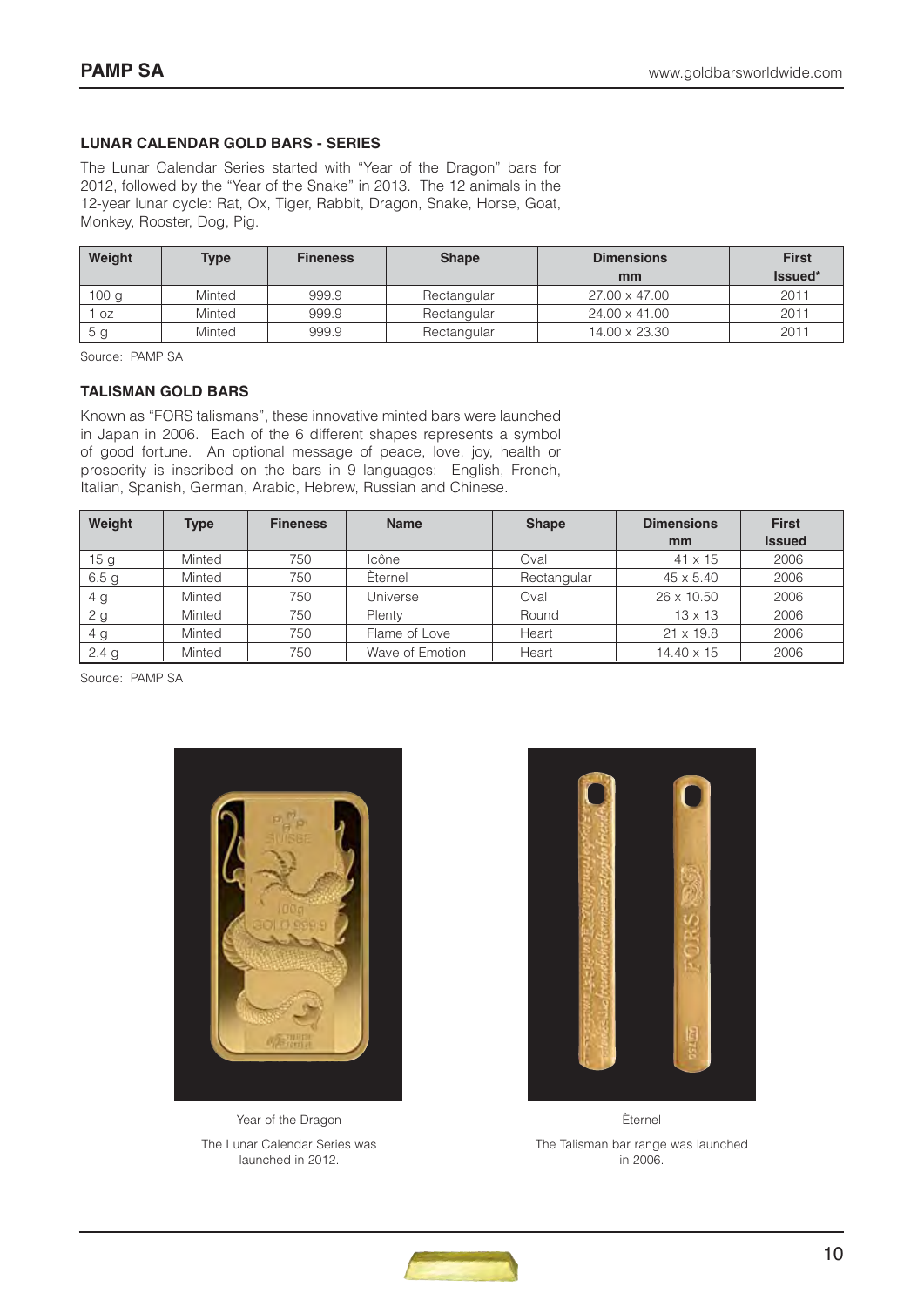# **LUNAR CALENDAR GOLD BARS - SERIES**

The Lunar Calendar Series started with "Year of the Dragon" bars for 2012, followed by the "Year of the Snake" in 2013. The 12 animals in the 12-year lunar cycle: Rat, Ox, Tiger, Rabbit, Dragon, Snake, Horse, Goat, Monkey, Rooster, Dog, Pig.

| Weight | <b>Type</b> | <b>Fineness</b> | <b>Shape</b> | <b>Dimensions</b> | <b>First</b> |
|--------|-------------|-----------------|--------------|-------------------|--------------|
|        |             |                 |              | mm                | Issued*      |
| 100 g  | Minted      | 999.9           | Rectangular  | 27.00 x 47.00     | 2011         |
| OZ     | Minted      | 999.9           | Rectangular  | 24.00 x 41.00     | 2011         |
| b g    | Minted      | 999.9           | Rectangular  | 14.00 x 23.30     | 2011         |

Source: PAMP SA

#### **TALISMAN GOLD BARS**

Known as "FORS talismans", these innovative minted bars were launched in Japan in 2006. Each of the 6 different shapes represents a symbol of good fortune. An optional message of peace, love, joy, health or prosperity is inscribed on the bars in 9 languages: English, French, Italian, Spanish, German, Arabic, Hebrew, Russian and Chinese.

| Weight           | <b>Type</b> | <b>Fineness</b> | <b>Name</b>     | <b>Shape</b> | <b>Dimensions</b><br>mm | <b>First</b><br><b>Issued</b> |
|------------------|-------------|-----------------|-----------------|--------------|-------------------------|-------------------------------|
| 15 <sub>g</sub>  | Minted      | 750             | Icône           | Oval         | $41 \times 15$          | 2006                          |
| 6.5 <sub>g</sub> | Minted      | 750             | Eternel         | Rectangular  | $45 \times 5.40$        | 2006                          |
| 4 g              | Minted      | 750             | Universe        | Oval         | 26 x 10.50              | 2006                          |
| 2 g              | Minted      | 750             | Plenty          | Round        | $13 \times 13$          | 2006                          |
| 4 <sub>g</sub>   | Minted      | 750             | Flame of Love   | Heart        | $21 \times 19.8$        | 2006                          |
| 2.4 <sub>g</sub> | Minted      | 750             | Wave of Emotion | Heart        | 14.40 x 15              | 2006                          |

Source: PAMP SA



Year of the Dragon The Lunar Calendar Series was launched in 2012.



Èternel The Talisman bar range was launched in 2006.

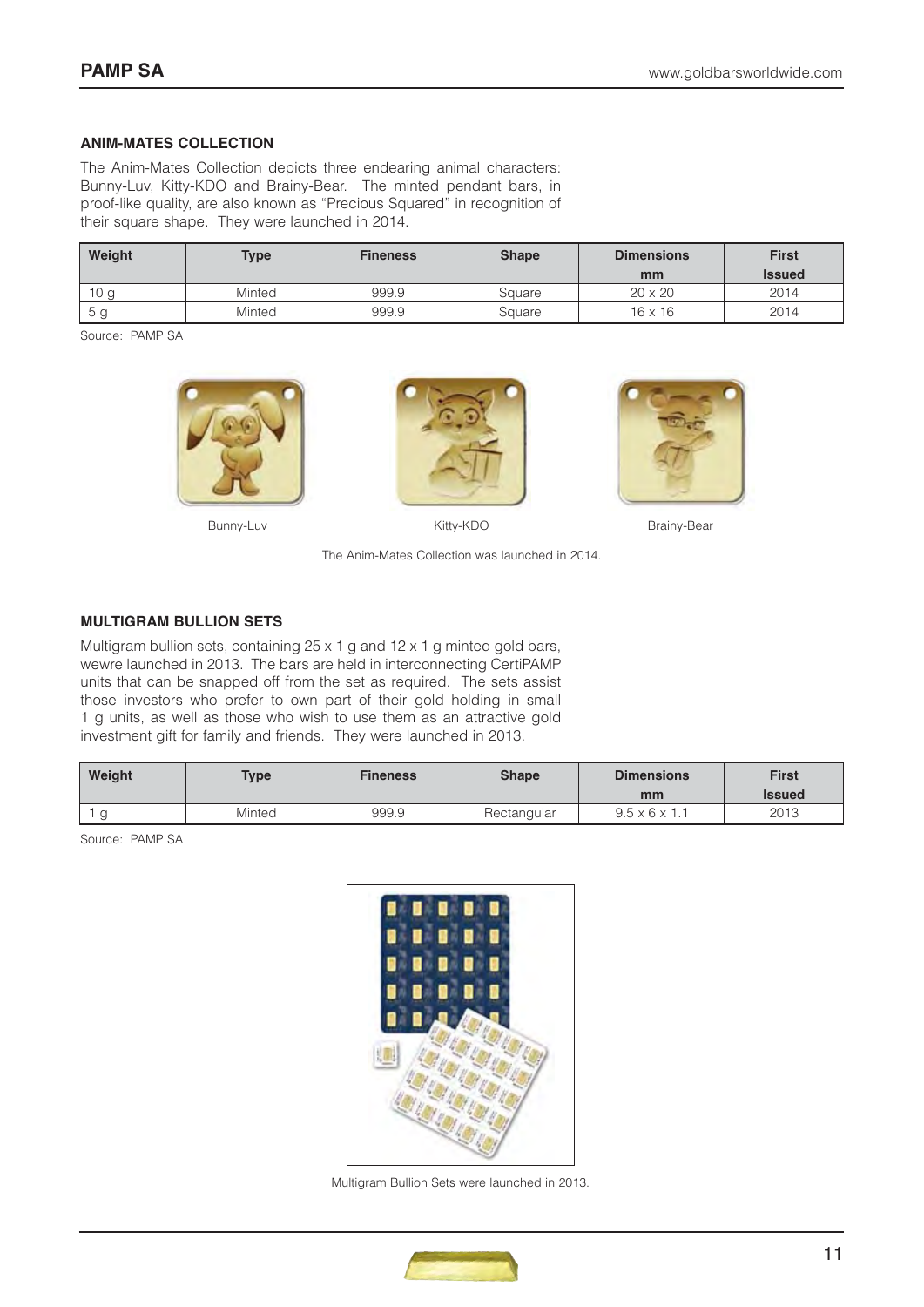#### **ANIM-MATES COLLECTION**

The Anim-Mates Collection depicts three endearing animal characters: Bunny-Luv, Kitty-KDO and Brainy-Bear. The minted pendant bars, in proof-like quality, are also known as "Precious Squared" in recognition of their square shape. They were launched in 2014.

| Weight | <b>Type</b> | <b>Fineness</b> | <b>Shape</b> | <b>Dimensions</b><br>mm | <b>First</b><br><b>Issued</b> |
|--------|-------------|-----------------|--------------|-------------------------|-------------------------------|
| 10 a   | Minted      | 999.9           | Square       | $20 \times 20$          | 2014                          |
| 5 g    | Minted      | 999.9           | Square       | $16 \times 16$          | 2014                          |

Source: PAMP SA







Bunny-Luv **Bunny-Luv** Kitty-KDO **Brainy-Bear** 

The Anim-Mates Collection was launched in 2014.

## **MULTIGRAM BULLION SETS**

Multigram bullion sets, containing 25 x 1 g and 12 x 1 g minted gold bars, wewre launched in 2013. The bars are held in interconnecting CertiPAMP units that can be snapped off from the set as required. The sets assist those investors who prefer to own part of their gold holding in small 1 g units, as well as those who wish to use them as an attractive gold investment gift for family and friends. They were launched in 2013.

| Weight | Type   | <b>Fineness</b> | <b>Shape</b> | <b>Dimensions</b><br>mm   | <b>First</b><br><b>Issued</b> |
|--------|--------|-----------------|--------------|---------------------------|-------------------------------|
|        | Minted | 999.9           | Rectangular  | $9.5 \times 6 \times 1.1$ | 2013                          |

Source: PAMP SA



Multigram Bullion Sets were launched in 2013.

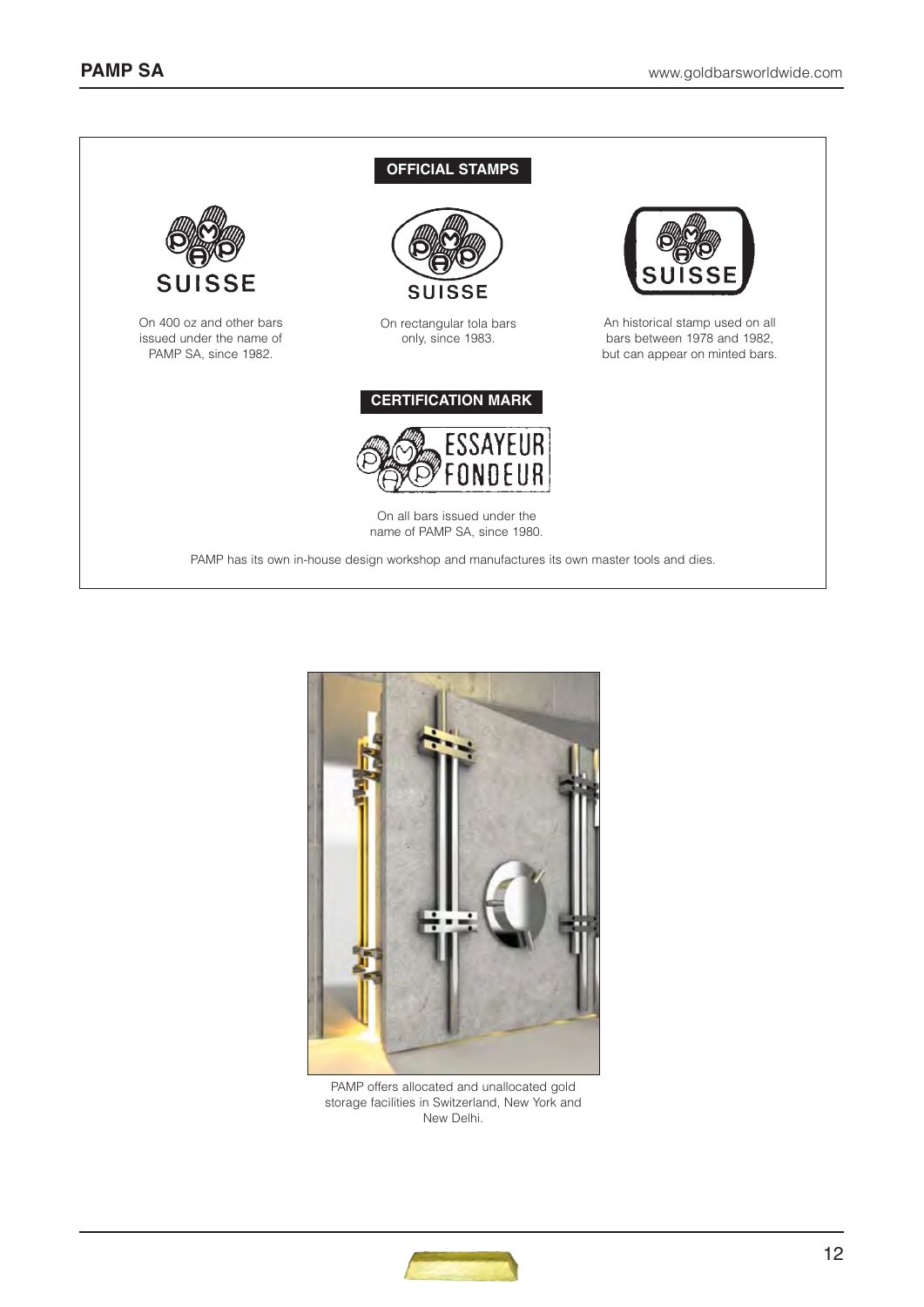



PAMP offers allocated and unallocated gold storage facilities in Switzerland, New York and New Delhi.